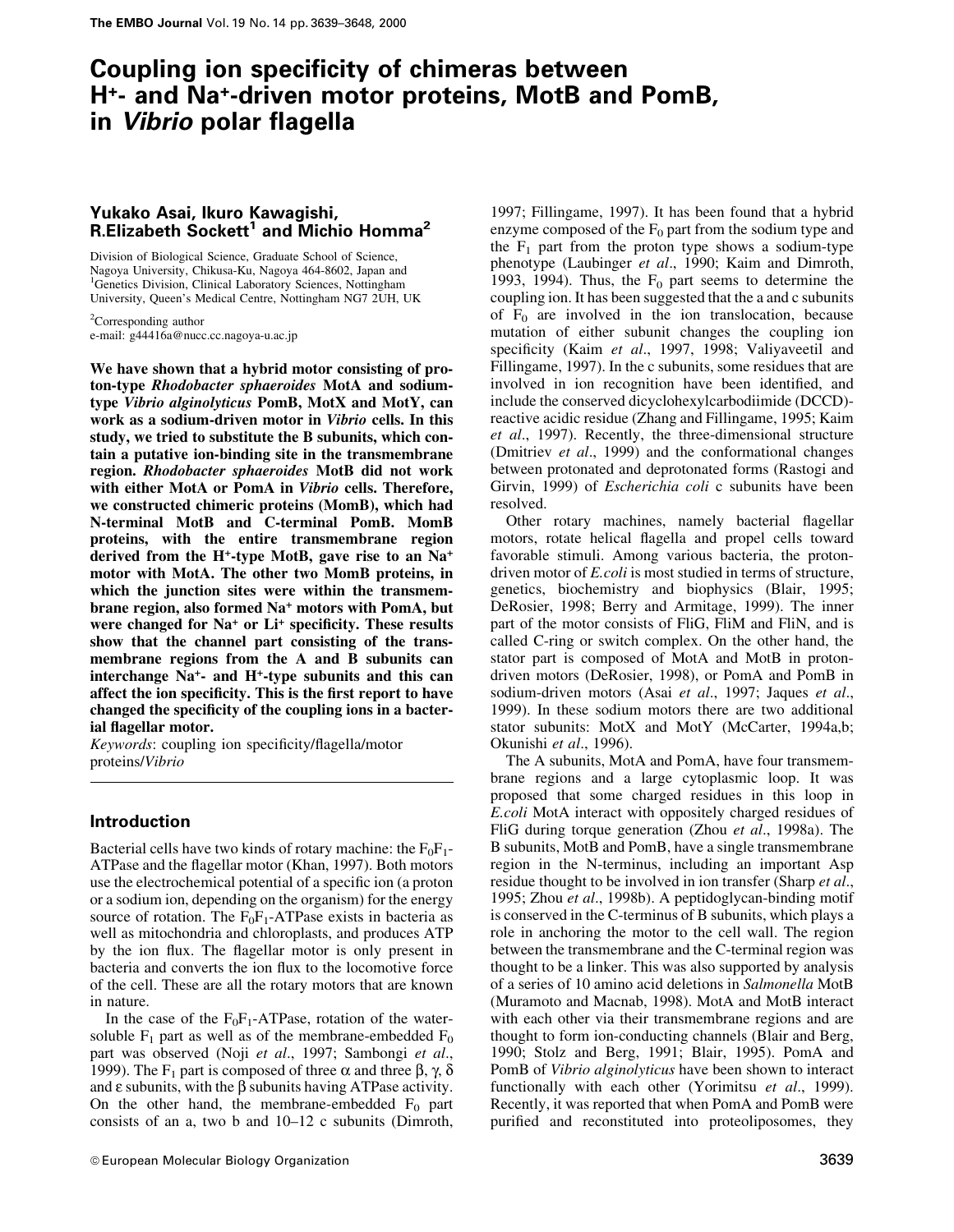# Coupling ion specificity of chimeras between H<sup>+</sup>- and Na<sup>+</sup>-driven motor proteins, MotB and PomB, in Vibrio polar flagella

## Yukako Asai, Ikuro Kawagishi, R.Elizabeth Sockett<sup>1</sup> and Michio Homma<sup>2</sup>

Division of Biological Science, Graduate School of Science, Nagoya University, Chikusa-Ku, Nagoya 464-8602, Japan and <sup>1</sup>Genetics Division, Clinical Laboratory Sciences, Nottingham University, Queen's Medical Centre, Nottingham NG7 2UH, UK

 ${}^{2}$ Corresponding author e-mail: g44416a@nucc.cc.nagoya-u.ac.jp

We have shown that a hybrid motor consisting of proton-type Rhodobacter sphaeroides MotA and sodiumtvpe Vibrio alginolyticus PomB, MotX and MotY, can work as a sodium-driven motor in Vibrio cells. In this study, we tried to substitute the B subunits, which contain a putative ion-binding site in the transmembrane region. Rhodobacter sphaeroides MotB did not work with either MotA or PomA in Vibrio cells. Therefore, we constructed chimeric proteins (MomB), which had N-terminal MotB and C-terminal PomB. MomB proteins, with the entire transmembrane region derived from the H<sup>+</sup>-type MotB, gave rise to an Na<sup>+</sup> motor with MotA. The other two MomB proteins, in which the junction sites were within the transmembrane region, also formed Na<sup>+</sup> motors with PomA, but were changed for Na<sup>+</sup> or Li<sup>+</sup> specificity. These results show that the channel part consisting of the transmembrane regions from the A and B subunits can interchange Na<sup>+</sup>- and H<sup>+</sup>-type subunits and this can affect the ion specificity. This is the first report to have changed the specificity of the coupling ions in a bacterial flagellar motor.

Keywords: coupling ion specificity/flagella/motor proteins/Vibrio

## **Introduction**

Bacterial cells have two kinds of rotary machine: the  $F_0F_1$ -ATPase and the flagellar motor (Khan, 1997). Both motors use the electrochemical potential of a specific ion (a proton or a sodium ion, depending on the organism) for the energy source of rotation. The  $F_0F_1$ -ATPase exists in bacteria as well as mitochondria and chloroplasts, and produces ATP by the ion flux. The flagellar motor is only present in bacteria and converts the ion flux to the locomotive force of the cell. These are all the rotary motors that are known in nature.

In the case of the  $F_0F_1$ -ATPase, rotation of the watersoluble  $F_1$  part as well as of the membrane-embedded  $F_0$ part was observed (Noji et al., 1997; Sambongi et al., 1999). The F<sub>1</sub> part is composed of three  $\alpha$  and three  $\beta$ ,  $\gamma$ ,  $\delta$ and  $\varepsilon$  subunits, with the  $\beta$  subunits having ATPase activity. On the other hand, the membrane-embedded  $F_0$  part consists of an a, two b and 10-12 c subunits (Dimroth,

© European Molecular Biology Organization

1997; Fillingame, 1997). It has been found that a hybrid enzyme composed of the  $F_0$  part from the sodium type and the  $F_1$  part from the proton type shows a sodium-type phenotype (Laubinger et al., 1990; Kaim and Dimroth, 1993, 1994). Thus, the  $F_0$  part seems to determine the coupling ion. It has been suggested that the a and c subunits of  $F_0$  are involved in the ion translocation, because mutation of either subunit changes the coupling ion specificity (Kaim et al., 1997, 1998; Valiyaveetil and Fillingame, 1997). In the c subunits, some residues that are involved in ion recognition have been identified, and include the conserved dicyclohexylcarbodiimide (DCCD)reactive acidic residue (Zhang and Fillingame, 1995; Kaim et al., 1997). Recently, the three-dimensional structure (Dmitriev et al., 1999) and the conformational changes between protonated and deprotonated forms (Rastogi and Girvin, 1999) of *Escherichia coli* c subunits have been resolved.

Other rotary machines, namely bacterial flagellar motors, rotate helical flagella and propel cells toward favorable stimuli. Among various bacteria, the protondriven motor of *E.coli* is most studied in terms of structure, genetics, biochemistry and biophysics (Blair, 1995; DeRosier, 1998; Berry and Armitage, 1999). The inner part of the motor consists of FliG. FliM and FliN, and is called C-ring or switch complex. On the other hand, the stator part is composed of MotA and MotB in protondriven motors (DeRosier, 1998), or PomA and PomB in sodium-driven motors (Asai et al., 1997; Jaques et al., 1999). In these sodium motors there are two additional stator subunits: MotX and MotY (McCarter, 1994a,b; Okunishi et al., 1996).

The A subunits, MotA and PomA, have four transmembrane regions and a large cytoplasmic loop. It was proposed that some charged residues in this loop in *E.coli* MotA interact with oppositely charged residues of FliG during torque generation (Zhou et al., 1998a). The B subunits, MotB and PomB, have a single transmembrane region in the N-terminus, including an important Asp residue thought to be involved in ion transfer (Sharp et al., 1995; Zhou et al., 1998b). A peptidoglycan-binding motif is conserved in the C-terminus of B subunits, which plays a role in anchoring the motor to the cell wall. The region between the transmembrane and the C-terminal region was thought to be a linker. This was also supported by analysis of a series of 10 amino acid deletions in Salmonella MotB (Muramoto and Macnab, 1998). MotA and MotB interact with each other via their transmembrane regions and are thought to form ion-conducting channels (Blair and Berg, 1990; Stolz and Berg, 1991; Blair, 1995). PomA and PomB of Vibrio alginolyticus have been shown to interact functionally with each other (Yorimitsu et al., 1999). Recently, it was reported that when PomA and PomB were purified and reconstituted into proteoliposomes, they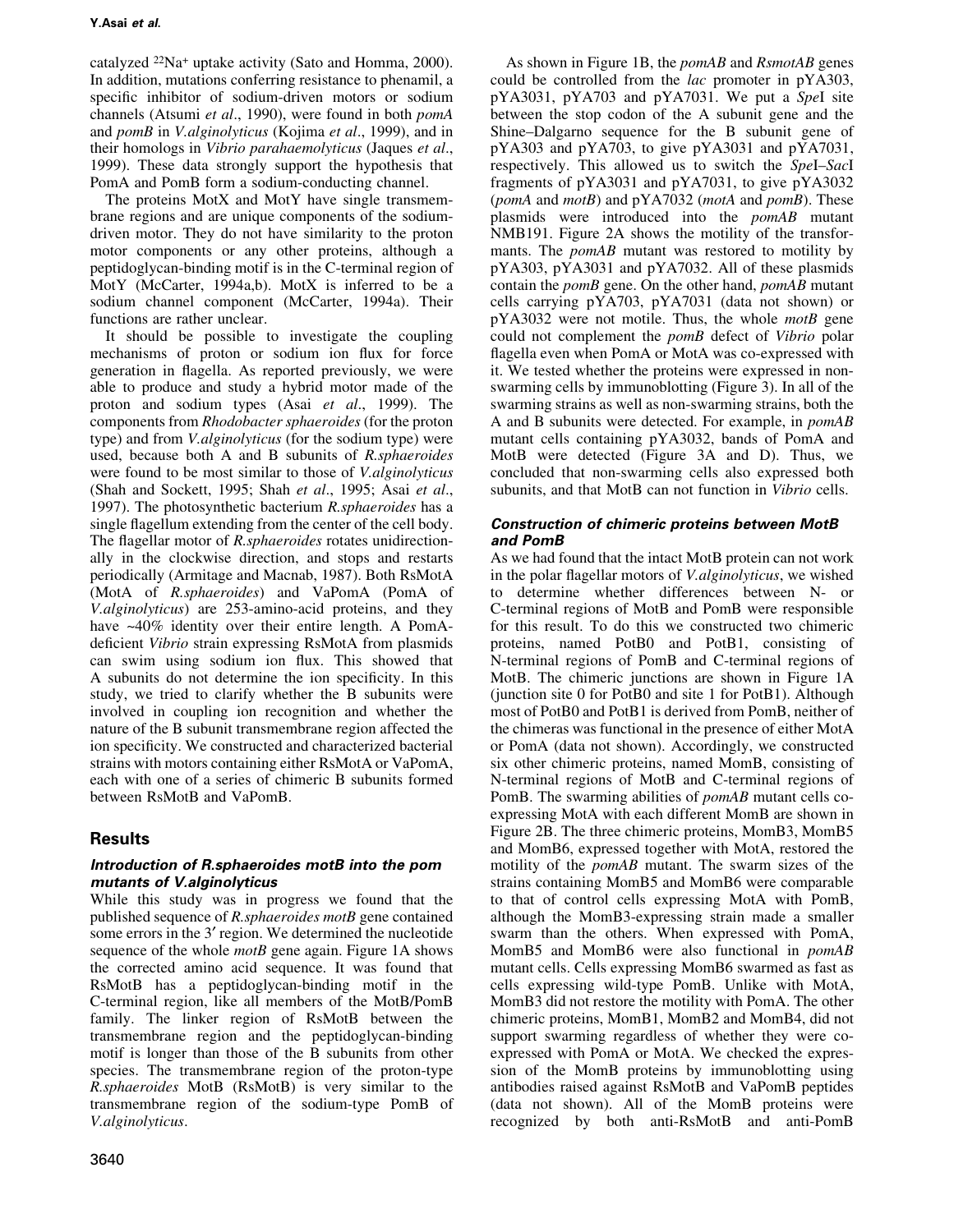catalyzed <sup>22</sup>Na<sup>+</sup> uptake activity (Sato and Homma, 2000). In addition, mutations conferring resistance to phenamil, a specific inhibitor of sodium-driven motors or sodium channels (Atsumi et al., 1990), were found in both *pomA* and *pomB* in *V.alginolyticus* (Kojima *et al.*, 1999), and in their homologs in Vibrio parahaemolyticus (Jaques et al., 1999). These data strongly support the hypothesis that PomA and PomB form a sodium-conducting channel.

The proteins MotX and MotY have single transmembrane regions and are unique components of the sodiumdriven motor. They do not have similarity to the proton motor components or any other proteins, although a peptidoglycan-binding motif is in the C-terminal region of MotY (McCarter, 1994a,b). MotX is inferred to be a sodium channel component (McCarter, 1994a). Their functions are rather unclear.

It should be possible to investigate the coupling mechanisms of proton or sodium ion flux for force generation in flagella. As reported previously, we were able to produce and study a hybrid motor made of the proton and sodium types (Asai et al., 1999). The components from *Rhodobacter sphaeroides* (for the proton type) and from *V.alginolyticus* (for the sodium type) were used, because both A and B subunits of R.sphaeroides were found to be most similar to those of *V.alginolyticus* (Shah and Sockett, 1995; Shah et al., 1995; Asai et al., 1997). The photosynthetic bacterium R.sphaeroides has a single flagellum extending from the center of the cell body. The flagellar motor of *R.sphaeroides* rotates unidirectionally in the clockwise direction, and stops and restarts periodically (Armitage and Macnab, 1987). Both RsMotA (MotA of R.sphaeroides) and VaPomA (PomA of V.alginolyticus) are 253-amino-acid proteins, and they have  $~40\%$  identity over their entire length. A PomAdeficient Vibrio strain expressing RsMotA from plasmids can swim using sodium ion flux. This showed that A subunits do not determine the ion specificity. In this study, we tried to clarify whether the B subunits were involved in coupling ion recognition and whether the nature of the B subunit transmembrane region affected the ion specificity. We constructed and characterized bacterial strains with motors containing either RsMotA or VaPomA, each with one of a series of chimeric B subunits formed between RsMotB and VaPomB.

## **Results**

## Introduction of R.sphaeroides motB into the pom mutants of V.alginolyticus

While this study was in progress we found that the published sequence of *R.sphaeroides motB* gene contained some errors in the 3' region. We determined the nucleotide sequence of the whole  $motB$  gene again. Figure 1A shows the corrected amino acid sequence. It was found that RsMotB has a peptidoglycan-binding motif in the C-terminal region, like all members of the MotB/PomB family. The linker region of RsMotB between the transmembrane region and the peptidoglycan-binding motif is longer than those of the B subunits from other species. The transmembrane region of the proton-type R.sphaeroides MotB (RsMotB) is very similar to the transmembrane region of the sodium-type PomB of V.alginolyticus.

As shown in Figure 1B, the *pomAB* and *RsmotAB* genes could be controlled from the *lac* promoter in pYA303, pYA3031, pYA703 and pYA7031. We put a Spel site between the stop codon of the A subunit gene and the Shine-Dalgarno sequence for the B subunit gene of pYA303 and pYA703, to give pYA3031 and pYA7031, respectively. This allowed us to switch the SpeI-SacI fragments of pYA3031 and pYA7031, to give pYA3032 (pomA and  $motB$ ) and  $pYA7032$  (motA and pomB). These plasmids were introduced into the *pomAB* mutant NMB191. Figure 2A shows the motility of the transformants. The *pomAB* mutant was restored to motility by pYA303, pYA3031 and pYA7032. All of these plasmids contain the *pomB* gene. On the other hand, *pomAB* mutant cells carrying pYA703, pYA7031 (data not shown) or  $pYA3032$  were not motile. Thus, the whole *motB* gene could not complement the *pomB* defect of *Vibrio* polar flagella even when PomA or MotA was co-expressed with it. We tested whether the proteins were expressed in nonswarming cells by immunoblotting (Figure 3). In all of the swarming strains as well as non-swarming strains, both the A and B subunits were detected. For example, in *pomAB* mutant cells containing pYA3032, bands of PomA and MotB were detected (Figure 3A and D). Thus, we concluded that non-swarming cells also expressed both subunits, and that MotB can not function in Vibrio cells.

## **Construction of chimeric proteins between MotB** and PomB

As we had found that the intact MotB protein can not work in the polar flagellar motors of *V.alginolyticus*, we wished to determine whether differences between N- or C-terminal regions of MotB and PomB were responsible for this result. To do this we constructed two chimeric proteins, named PotB0 and PotB1, consisting of N-terminal regions of PomB and C-terminal regions of MotB. The chimeric junctions are shown in Figure 1A (junction site 0 for PotB0 and site 1 for PotB1). Although most of PotB0 and PotB1 is derived from PomB, neither of the chimeras was functional in the presence of either MotA or PomA (data not shown). Accordingly, we constructed six other chimeric proteins, named MomB, consisting of N-terminal regions of MotB and C-terminal regions of PomB. The swarming abilities of *pomAB* mutant cells coexpressing MotA with each different MomB are shown in Figure 2B. The three chimeric proteins, MomB3, MomB5 and MomB6, expressed together with MotA, restored the motility of the *pomAB* mutant. The swarm sizes of the strains containing MomB5 and MomB6 were comparable to that of control cells expressing MotA with PomB, although the MomB3-expressing strain made a smaller swarm than the others. When expressed with PomA, MomB5 and MomB6 were also functional in pomAB mutant cells. Cells expressing MomB6 swarmed as fast as cells expressing wild-type PomB. Unlike with MotA, MomB3 did not restore the motility with PomA. The other chimeric proteins, MomB1, MomB2 and MomB4, did not support swarming regardless of whether they were coexpressed with PomA or MotA. We checked the expression of the MomB proteins by immunoblotting using antibodies raised against RsMotB and VaPomB peptides (data not shown). All of the MomB proteins were recognized by both anti-RsMotB and anti-PomB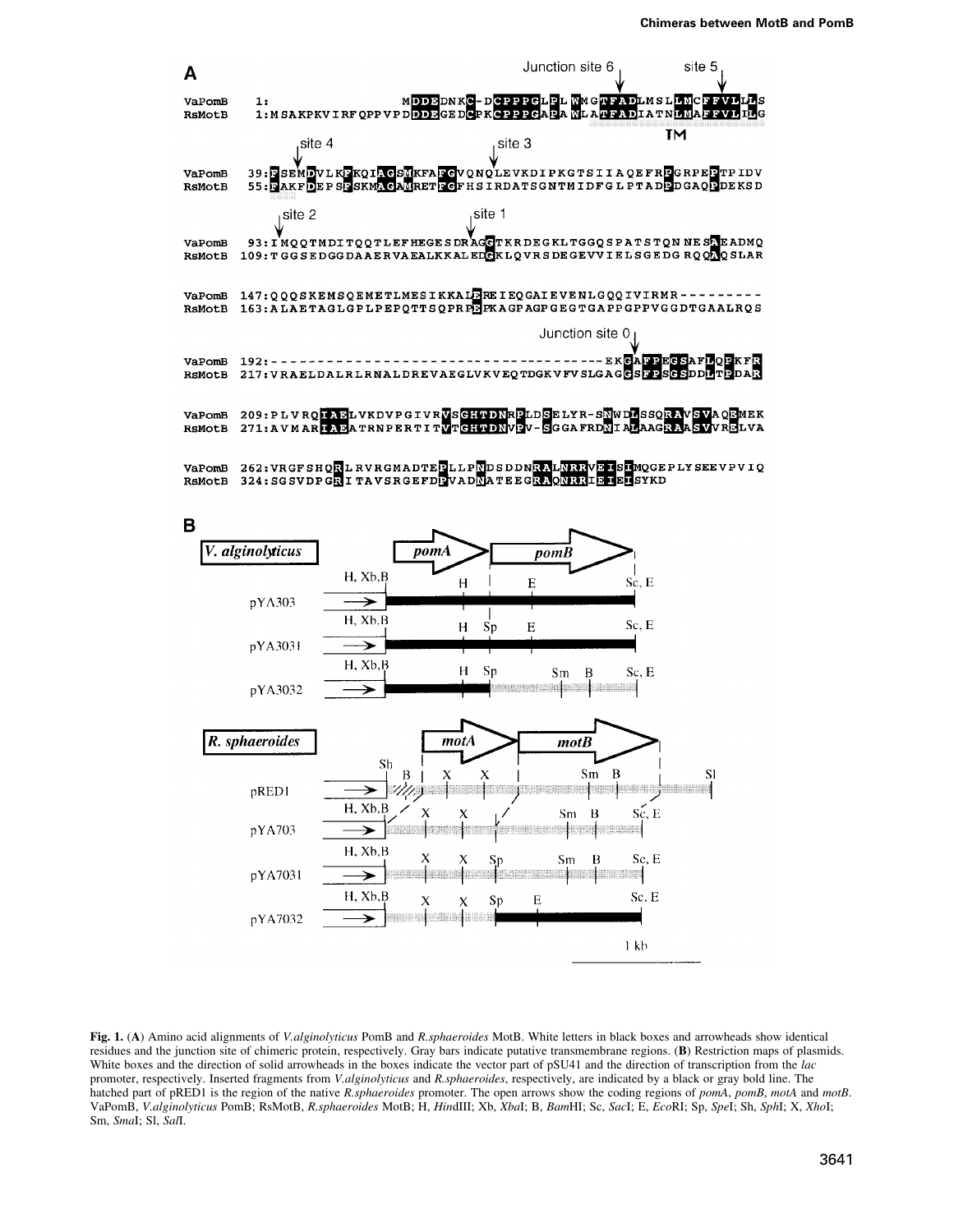



Fig. 1. (A) Amino acid alignments of V.alginolyticus PomB and R.sphaeroides MotB. White letters in black boxes and arrowheads show identical residues and the junction site of chimeric protein, respectively. Gray bars indicate putative transmembrane regions. (B) Restriction maps of plasmids. White boxes and the direction of solid arrowheads in the boxes indicate the vector part of pSU41 and the direction of transcription from the *lac* promoter, respectively. Inserted fragments from V.alginolyticus and R.sphaeroides, respectively, are indicated by a black or gray bold line. The hatched part of pRED1 is the region of the native R sphaeroides promoter. The open arrows show the coding regions of pomA, pomB, motA and motB. VaPomB, V.alginolyticus PomB, RsMotB, R.sphaeroides MotB, H, HindIII; Xb, XbaI; B, BamHI; Sc, SacI; E, EcoRI; Sp, SpeI; Sh, SphI; X, XhoI; Sm, Smal; Sl, Sall.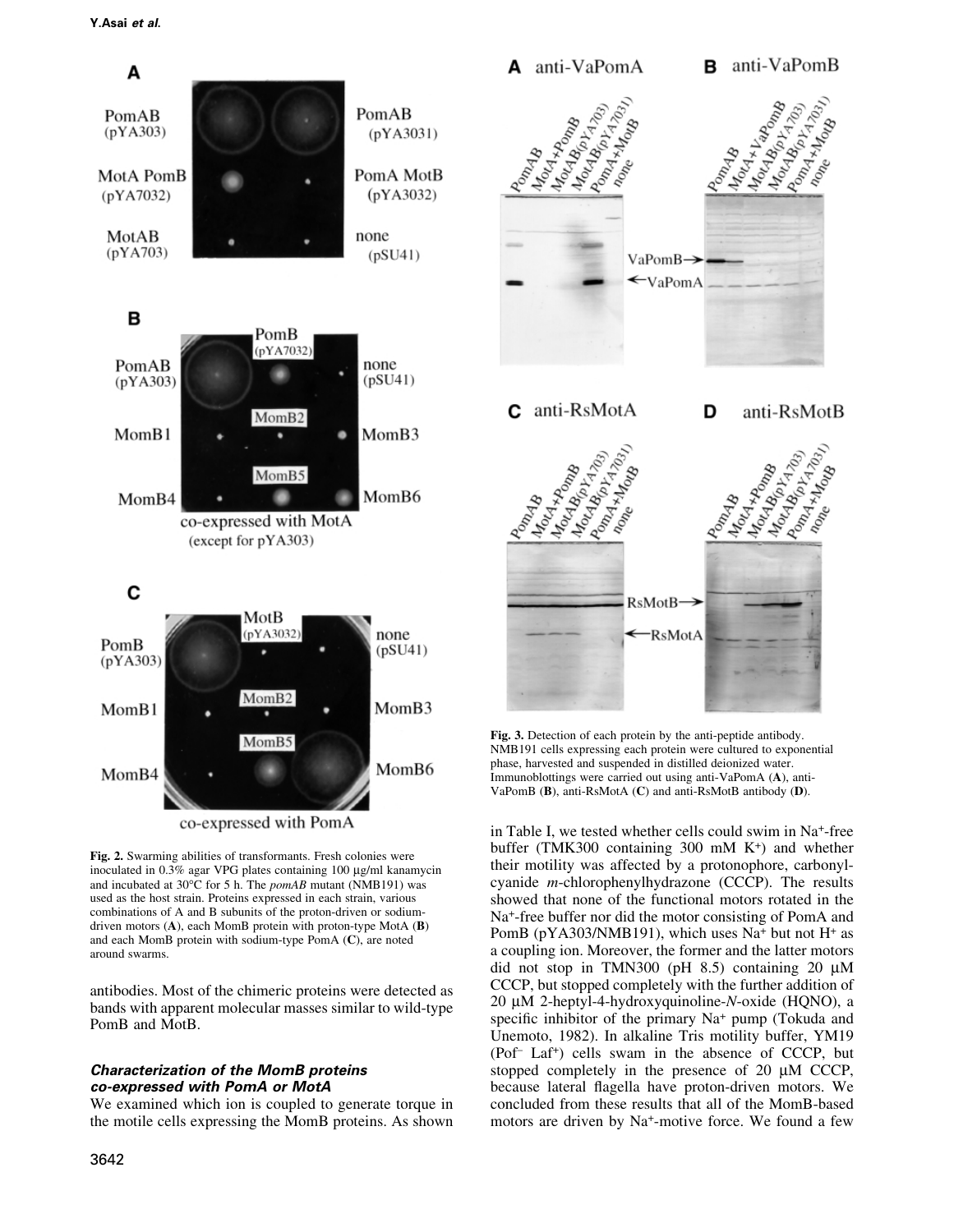

their motility was affected by a protonophore, carbonyl-

cyanide  $m$ -chlorophenylhydrazone (CCCP). The results

showed that none of the functional motors rotated in the

Na<sup>+</sup>-free buffer nor did the motor consisting of PomA and

PomB (pYA303/NMB191), which uses Na<sup>+</sup> but not H<sup>+</sup> as

a coupling ion. Moreover, the former and the latter motors

did not stop in TMN300 (pH  $8.5$ ) containing 20  $\mu$ M CCCP, but stopped completely with the further addition of

20 μM 2-heptyl-4-hydroxyquinoline-N-oxide (HQNO), a

specific inhibitor of the primary Na<sup>+</sup> pump (Tokuda and

Unemoto, 1982). In alkaline Tris motility buffer, YM19 (Pof-Laf+) cells swam in the absence of CCCP, but

stopped completely in the presence of 20 µM CCCP,

because lateral flagella have proton-driven motors. We

concluded from these results that all of the MomB-based

motors are driven by Na<sup>+</sup>-motive force. We found a few

Fig. 2. Swarming abilities of transformants. Fresh colonies were inoculated in 0.3% agar VPG plates containing 100 µg/ml kanamycin and incubated at 30°C for 5 h. The pomAB mutant (NMB191) was used as the host strain. Proteins expressed in each strain, various combinations of A and B subunits of the proton-driven or sodiumdriven motors (A), each MomB protein with proton-type MotA (B) and each MomB protein with sodium-type PomA  $(C)$ , are noted around swarms.

antibodies. Most of the chimeric proteins were detected as bands with apparent molecular masses similar to wild-type PomB and MotB.

#### **Characterization of the MomB proteins** co-expressed with PomA or MotA

We examined which ion is coupled to generate torque in the motile cells expressing the MomB proteins. As shown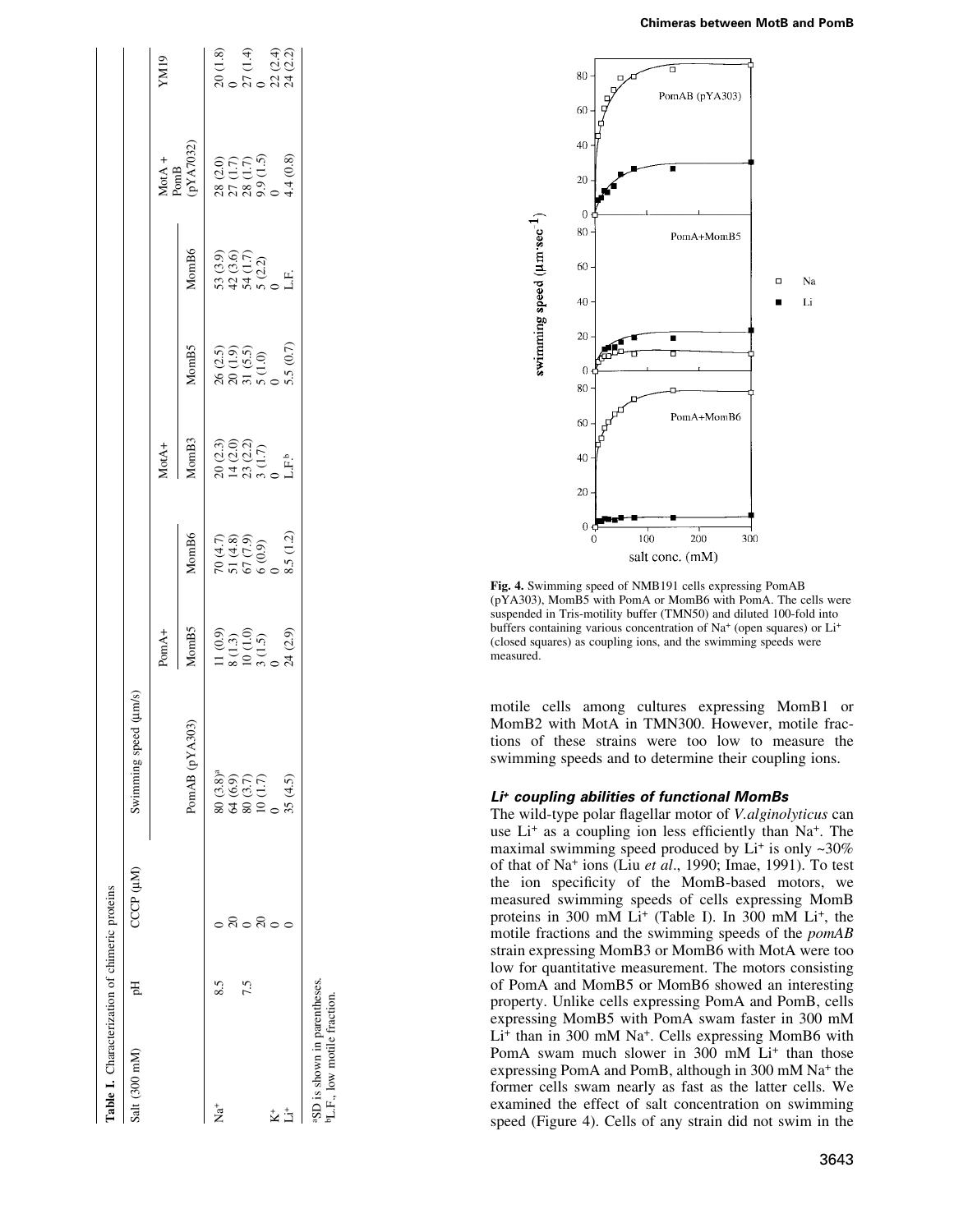|  |  |  | Chimeras between MotB and PomB |  |  |  |
|--|--|--|--------------------------------|--|--|--|
|--|--|--|--------------------------------|--|--|--|

| Table I. Characterization of chimeric proteins                          |    |           |                                                                       |                                                                                                 |                                                                    |                                                                                |                                                                                         |                                                      |                                                                                                                    |                                                         |
|-------------------------------------------------------------------------|----|-----------|-----------------------------------------------------------------------|-------------------------------------------------------------------------------------------------|--------------------------------------------------------------------|--------------------------------------------------------------------------------|-----------------------------------------------------------------------------------------|------------------------------------------------------|--------------------------------------------------------------------------------------------------------------------|---------------------------------------------------------|
| Salt (300 mM)                                                           | ÞЦ | CCCP (µM) | Swimming speed (um/s)                                                 |                                                                                                 |                                                                    |                                                                                |                                                                                         |                                                      |                                                                                                                    |                                                         |
|                                                                         |    |           |                                                                       | PomA+                                                                                           |                                                                    | MotA+                                                                          |                                                                                         |                                                      |                                                                                                                    | YM19                                                    |
|                                                                         |    |           | 303)<br>PomAB (pYA                                                    | MomB5                                                                                           | MomB6                                                              | MomB3                                                                          | MomB5                                                                                   | MomB6                                                | $\begin{array}{ll} \text{MotA } + \text{PomB} \\ \text{PomB} \\ (\text{p} \text{YA7032}) \end{array}$              |                                                         |
| ta<br>Z                                                                 |    |           | $80(3.8)^a$                                                           |                                                                                                 |                                                                    |                                                                                |                                                                                         |                                                      |                                                                                                                    |                                                         |
|                                                                         |    |           |                                                                       |                                                                                                 |                                                                    |                                                                                |                                                                                         |                                                      |                                                                                                                    |                                                         |
|                                                                         |    |           | $\begin{array}{c} 64 & (6.9) \\ 80 & (3.7) \\ 10 & (1.7) \end{array}$ |                                                                                                 |                                                                    | $\begin{array}{l} 20~(2.3)\\ 14~(2.0)\\ 23~(1.7)\\ 3~(1.7)\\ 1.1.1\end{array}$ |                                                                                         | 53 (3.9)<br>42 (3.6)<br>43 (3.2)<br>53 (3.2)<br>L.F. |                                                                                                                    |                                                         |
|                                                                         |    |           |                                                                       |                                                                                                 |                                                                    |                                                                                |                                                                                         |                                                      |                                                                                                                    |                                                         |
| $\ddot{\mathbf{k}}^*$                                                   |    |           |                                                                       |                                                                                                 |                                                                    |                                                                                |                                                                                         |                                                      |                                                                                                                    |                                                         |
| $\ddot{\Xi}$                                                            |    |           | 35(4.5)                                                               | $\begin{array}{l} 11\ (0.9) \\ 8\ (1.3) \\ 10\ (1.0) \\ 3\ (1.5) \\ 0 \\ 24\ (2.9) \end{array}$ | $70 (4.7)$<br>$51 (4.8)$<br>$67 (7.9)$<br>$6 (0.9)$<br>$3.5 (1.2)$ |                                                                                | $\begin{array}{l} 26 \ (2.5) \\ 20 \ (1.9) \\ 31 \ (5.5) \\ 5 \ (1.0) \\ 0 \end{array}$ |                                                      | $\begin{array}{l} 28 \; (2.0) \\ 27 \; (1.7) \\ 28 \; (1.5) \\ 9.9 \; (1.5) \\ 0 \; 0 \\ 4.4 \; (0.8) \end{array}$ | $20(1.8)$<br>$0$<br>$27(1.4)$<br>$20(2.2)$<br>$24(2.2)$ |
| aSD is shown in parentheses.<br><sup>b</sup> L.F., low motile fraction. |    |           |                                                                       |                                                                                                 |                                                                    |                                                                                |                                                                                         |                                                      |                                                                                                                    |                                                         |



Fig. 4. Swimming speed of NMB191 cells expressing PomAB (pYA303), MomB5 with PomA or MomB6 with PomA. The cells were suspended in Tris-motility buffer (TMN50) and diluted 100-fold into buffers containing various concentration of Na<sup>+</sup> (open squares) or Li<sup>+</sup> (closed squares) as coupling ions, and the swimming speeds were measured.

motile cells among cultures expressing MomB1 or MomB2 with MotA in TMN300. However, motile fractions of these strains were too low to measure the swimming speeds and to determine their coupling ions.

## Li<sup>+</sup> coupling abilities of functional MomBs

The wild-type polar flagellar motor of V.alginolyticus can use Li<sup>+</sup> as a coupling ion less efficiently than Na<sup>+</sup>. The maximal swimming speed produced by  $Li^+$  is only  $\sim 30\%$ of that of Na<sup>+</sup> ions (Liu et al., 1990; Imae, 1991). To test the ion specificity of the MomB-based motors, we measured swimming speeds of cells expressing MomB proteins in 300 mM Li<sup>+</sup> (Table I). In 300 mM Li<sup>+</sup>, the motile fractions and the swimming speeds of the pomAB strain expressing MomB3 or MomB6 with MotA were too low for quantitative measurement. The motors consisting of PomA and MomB5 or MomB6 showed an interesting property. Unlike cells expressing PomA and PomB, cells expressing MomB5 with PomA swam faster in 300 mM Li<sup>+</sup> than in 300 mM Na<sup>+</sup>. Cells expressing MomB6 with PomA swam much slower in 300 mM Li<sup>+</sup> than those expressing PomA and PomB, although in 300 mM Na+ the former cells swam nearly as fast as the latter cells. We examined the effect of salt concentration on swimming speed (Figure 4). Cells of any strain did not swim in the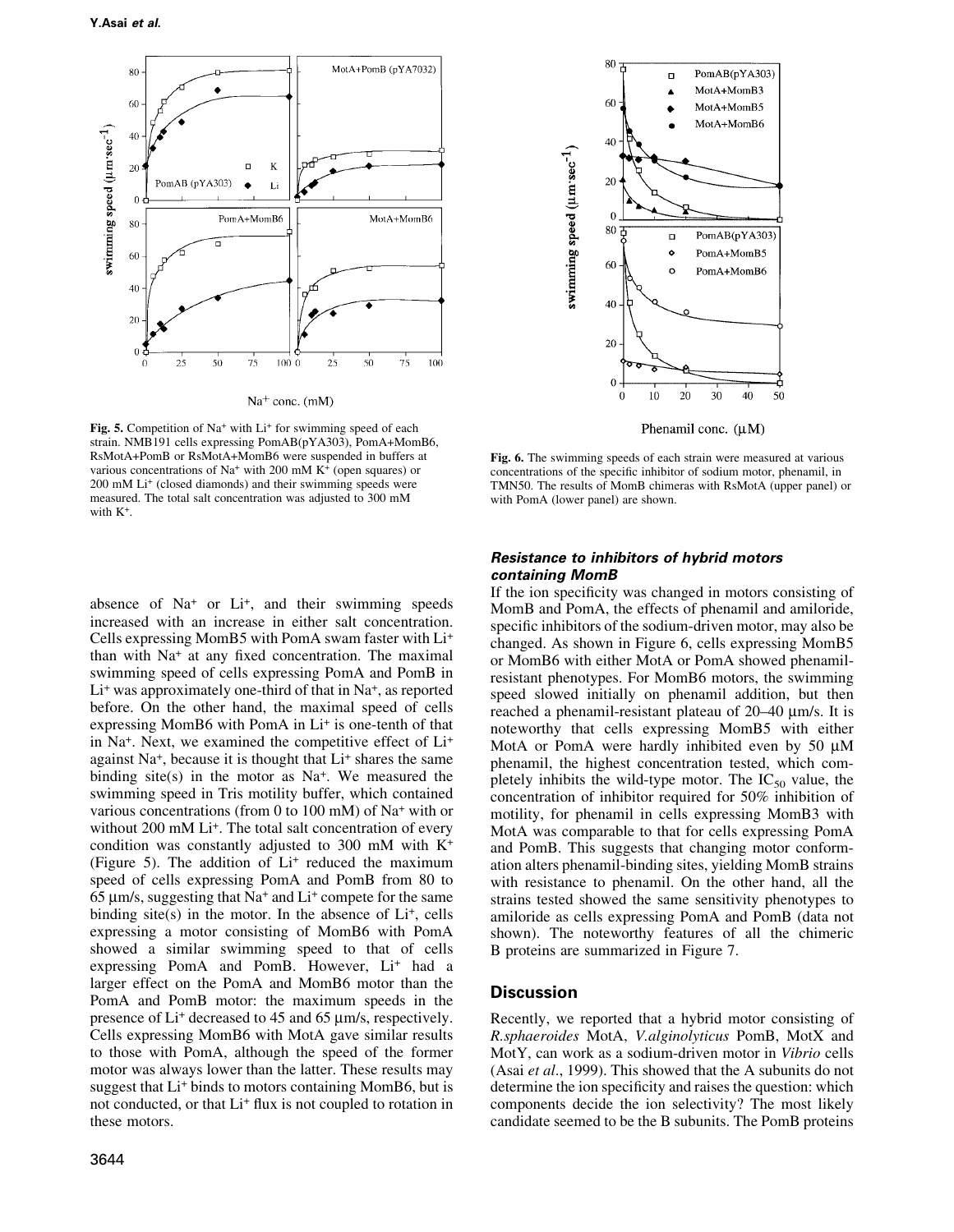

Fig. 5. Competition of Na<sup>+</sup> with Li<sup>+</sup> for swimming speed of each strain. NMB191 cells expressing PomAB(pYA303), PomA+MomB6, RsMotA+PomB or RsMotA+MomB6 were suspended in buffers at various concentrations of  $Na^+$  with 200 mM  $K^+$  (open squares) or 200 mM Li<sup>+</sup> (closed diamonds) and their swimming speeds were measured. The total salt concentration was adjusted to 300 mM with K<sup>+</sup>.

absence of Na<sup>+</sup> or Li<sup>+</sup>, and their swimming speeds increased with an increase in either salt concentration. Cells expressing MomB5 with PomA swam faster with Li<sup>+</sup> than with Na<sup>+</sup> at any fixed concentration. The maximal swimming speed of cells expressing PomA and PomB in  $Li<sup>+</sup>$  was approximately one-third of that in Na<sup>+</sup>, as reported before. On the other hand, the maximal speed of cells expressing MomB6 with PomA in Li<sup>+</sup> is one-tenth of that in Na<sup>+</sup>. Next, we examined the competitive effect of Li<sup>+</sup> against Na<sup>+</sup>, because it is thought that Li<sup>+</sup> shares the same binding site(s) in the motor as  $Na^{+}$ . We measured the swimming speed in Tris motility buffer, which contained various concentrations (from 0 to 100 mM) of  $Na<sup>+</sup>$  with or without 200 mM Li<sup>+</sup>. The total salt concentration of every condition was constantly adjusted to 300 mM with  $K^+$ (Figure 5). The addition of Li<sup>+</sup> reduced the maximum speed of cells expressing PomA and PomB from 80 to 65  $\mu$ m/s, suggesting that Na<sup>+</sup> and Li<sup>+</sup> compete for the same binding site(s) in the motor. In the absence of  $Li^+$ , cells expressing a motor consisting of MomB6 with PomA showed a similar swimming speed to that of cells expressing PomA and PomB. However, Li+ had a larger effect on the PomA and MomB6 motor than the PomA and PomB motor: the maximum speeds in the presence of Li<sup>+</sup> decreased to 45 and 65 µm/s, respectively. Cells expressing MomB6 with MotA gave similar results to those with PomA, although the speed of the former motor was always lower than the latter. These results may suggest that Li<sup>+</sup> binds to motors containing MomB6, but is not conducted, or that Li<sup>+</sup> flux is not coupled to rotation in these motors.



Fig. 6. The swimming speeds of each strain were measured at various concentrations of the specific inhibitor of sodium motor, phenamil, in TMN50. The results of MomB chimeras with RsMotA (upper panel) or with PomA (lower panel) are shown.

### **Resistance to inhibitors of hybrid motors** containing MomB

If the ion specificity was changed in motors consisting of MomB and PomA, the effects of phenamil and amiloride, specific inhibitors of the sodium-driven motor, may also be changed. As shown in Figure 6, cells expressing MomB5 or MomB6 with either MotA or PomA showed phenamilresistant phenotypes. For MomB6 motors, the swimming speed slowed initially on phenamil addition, but then reached a phenamil-resistant plateau of 20–40 µm/s. It is noteworthy that cells expressing MomB5 with either MotA or PomA were hardly inhibited even by 50  $\mu$ M phenamil, the highest concentration tested, which completely inhibits the wild-type motor. The  $IC_{50}$  value, the concentration of inhibitor required for 50% inhibition of motility, for phenamil in cells expressing MomB3 with MotA was comparable to that for cells expressing PomA and PomB. This suggests that changing motor conformation alters phenamil-binding sites, yielding MomB strains with resistance to phenamil. On the other hand, all the strains tested showed the same sensitivity phenotypes to amiloride as cells expressing PomA and PomB (data not shown). The noteworthy features of all the chimeric B proteins are summarized in Figure 7.

## **Discussion**

Recently, we reported that a hybrid motor consisting of R.sphaeroides MotA, V.alginolyticus PomB, MotX and MotY, can work as a sodium-driven motor in Vibrio cells (Asai et al., 1999). This showed that the A subunits do not determine the ion specificity and raises the question: which components decide the ion selectivity? The most likely candidate seemed to be the B subunits. The PomB proteins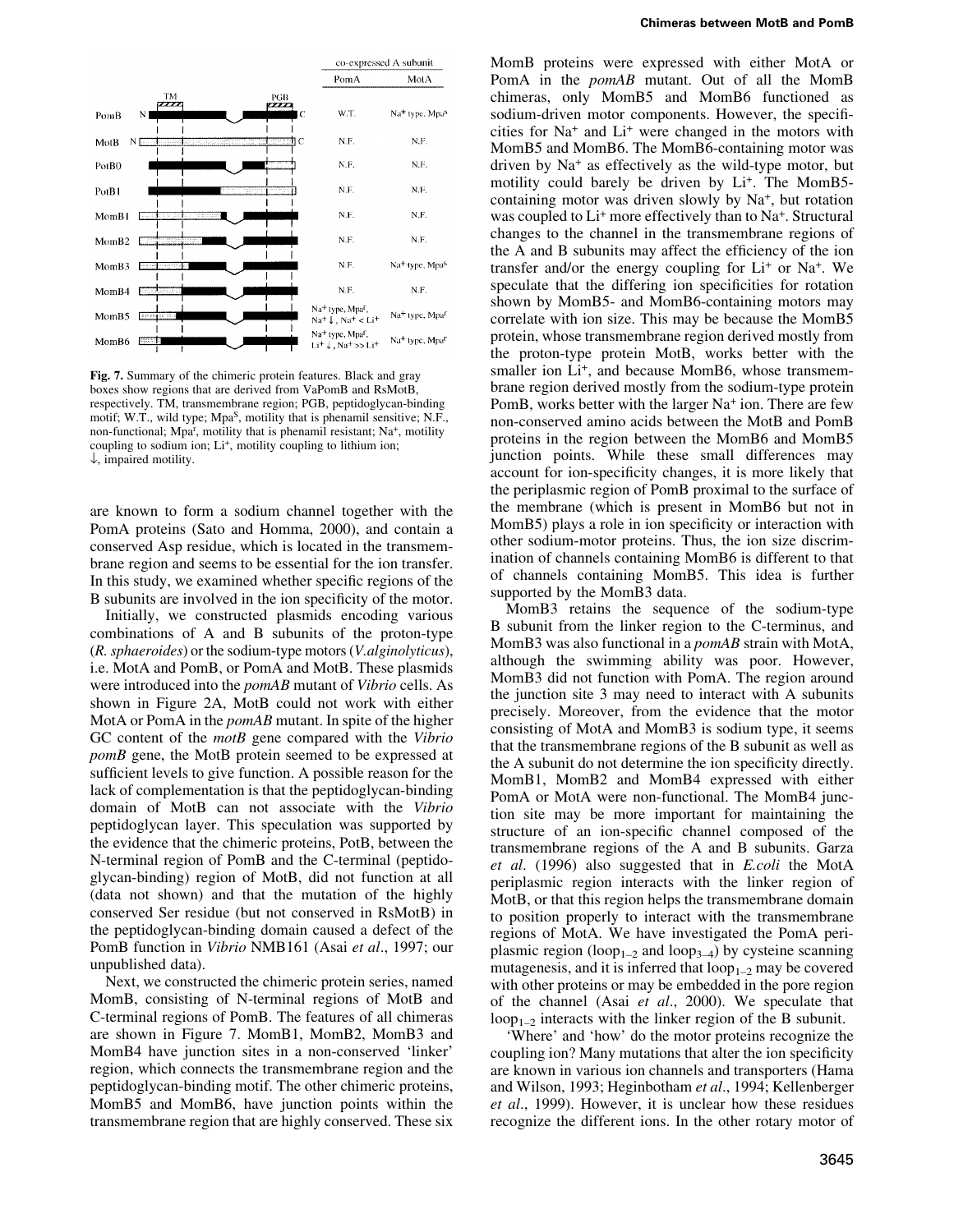

Fig. 7. Summary of the chimeric protein features. Black and gray boxes show regions that are derived from VaPomB and RsMotB, respectively. TM, transmembrane region: PGB, peptidoglycan-binding motif; W.T., wild type; Mpa<sup>S</sup>, motility that is phenamil sensitive; N.F., non-functional; Mpa<sup>r</sup>, motility that is phenamil resistant; Na<sup>+</sup>, motility coupling to sodium ion; Li<sup>+</sup>, motility coupling to lithium ion;  $\downarrow$ , impaired motility.

are known to form a sodium channel together with the PomA proteins (Sato and Homma, 2000), and contain a conserved Asp residue, which is located in the transmembrane region and seems to be essential for the ion transfer. In this study, we examined whether specific regions of the B subunits are involved in the ion specificity of the motor.

Initially, we constructed plasmids encoding various combinations of A and B subunits of the proton-type (*R. sphaeroides*) or the sodium-type motors (*V. alginolyticus*), i.e. MotA and PomB, or PomA and MotB. These plasmids were introduced into the *pomAB* mutant of *Vibrio* cells. As shown in Figure 2A, MotB could not work with either MotA or PomA in the *pomAB* mutant. In spite of the higher GC content of the *motB* gene compared with the Vibrio *pomB* gene, the MotB protein seemed to be expressed at sufficient levels to give function. A possible reason for the lack of complementation is that the peptidoglycan-binding domain of MotB can not associate with the Vibrio peptidoglycan layer. This speculation was supported by the evidence that the chimeric proteins, PotB, between the N-terminal region of PomB and the C-terminal (peptidoglycan-binding) region of MotB, did not function at all (data not shown) and that the mutation of the highly conserved Ser residue (but not conserved in RsMotB) in the peptidoglycan-binding domain caused a defect of the PomB function in *Vibrio* NMB161 (Asai *et al.*, 1997; our unpublished data).

Next, we constructed the chimeric protein series, named MomB, consisting of N-terminal regions of MotB and C-terminal regions of PomB. The features of all chimeras are shown in Figure 7. MomB1, MomB2, MomB3 and MomB4 have junction sites in a non-conserved 'linker' region, which connects the transmembrane region and the peptidoglycan-binding motif. The other chimeric proteins, MomB5 and MomB6, have junction points within the transmembrane region that are highly conserved. These six MomB proteins were expressed with either MotA or PomA in the *pomAB* mutant. Out of all the MomB chimeras, only MomB5 and MomB6 functioned as sodium-driven motor components. However, the specificities for Na<sup>+</sup> and Li<sup>+</sup> were changed in the motors with MomB5 and MomB6. The MomB6-containing motor was driven by Na<sup>+</sup> as effectively as the wild-type motor, but motility could barely be driven by Li<sup>+</sup>. The MomB5containing motor was driven slowly by Na<sup>+</sup>, but rotation was coupled to Li<sup>+</sup> more effectively than to Na<sup>+</sup>. Structural changes to the channel in the transmembrane regions of the A and B subunits may affect the efficiency of the ion transfer and/or the energy coupling for  $Li^+$  or  $Na^+$ . We speculate that the differing ion specificities for rotation shown by MomB5- and MomB6-containing motors may correlate with ion size. This may be because the MomB5 protein, whose transmembrane region derived mostly from the proton-type protein MotB, works better with the smaller ion Li<sup>+</sup>, and because MomB6, whose transmembrane region derived mostly from the sodium-type protein PomB, works better with the larger Na<sup>+</sup> ion. There are few non-conserved amino acids between the MotB and PomB proteins in the region between the MomB6 and MomB5 junction points. While these small differences may account for ion-specificity changes, it is more likely that the periplasmic region of PomB proximal to the surface of the membrane (which is present in MomB6 but not in MomB5) plays a role in ion specificity or interaction with other sodium-motor proteins. Thus, the ion size discrimination of channels containing MomB6 is different to that of channels containing MomB5. This idea is further supported by the MomB3 data.

MomB3 retains the sequence of the sodium-type B subunit from the linker region to the C-terminus, and MomB3 was also functional in a pomAB strain with MotA, although the swimming ability was poor. However, MomB3 did not function with PomA. The region around the junction site 3 may need to interact with A subunits precisely. Moreover, from the evidence that the motor consisting of MotA and MomB3 is sodium type, it seems that the transmembrane regions of the B subunit as well as the A subunit do not determine the ion specificity directly. MomB1, MomB2 and MomB4 expressed with either PomA or MotA were non-functional. The MomB4 junction site may be more important for maintaining the structure of an ion-specific channel composed of the transmembrane regions of the A and B subunits. Garza et al. (1996) also suggested that in *E.coli* the MotA periplasmic region interacts with the linker region of MotB, or that this region helps the transmembrane domain to position properly to interact with the transmembrane regions of MotA. We have investigated the PomA periplasmic region (loop<sub>1-2</sub> and loop<sub>3-4</sub>) by cysteine scanning mutagenesis, and it is inferred that  $loop_{1-2}$  may be covered with other proteins or may be embedded in the pore region of the channel (Asai et al., 2000). We speculate that  $loop_{1-2}$  interacts with the linker region of the B subunit.

'Where' and 'how' do the motor proteins recognize the coupling ion? Many mutations that alter the ion specificity are known in various ion channels and transporters (Hama and Wilson, 1993; Heginbotham et al., 1994; Kellenberger et al., 1999). However, it is unclear how these residues recognize the different ions. In the other rotary motor of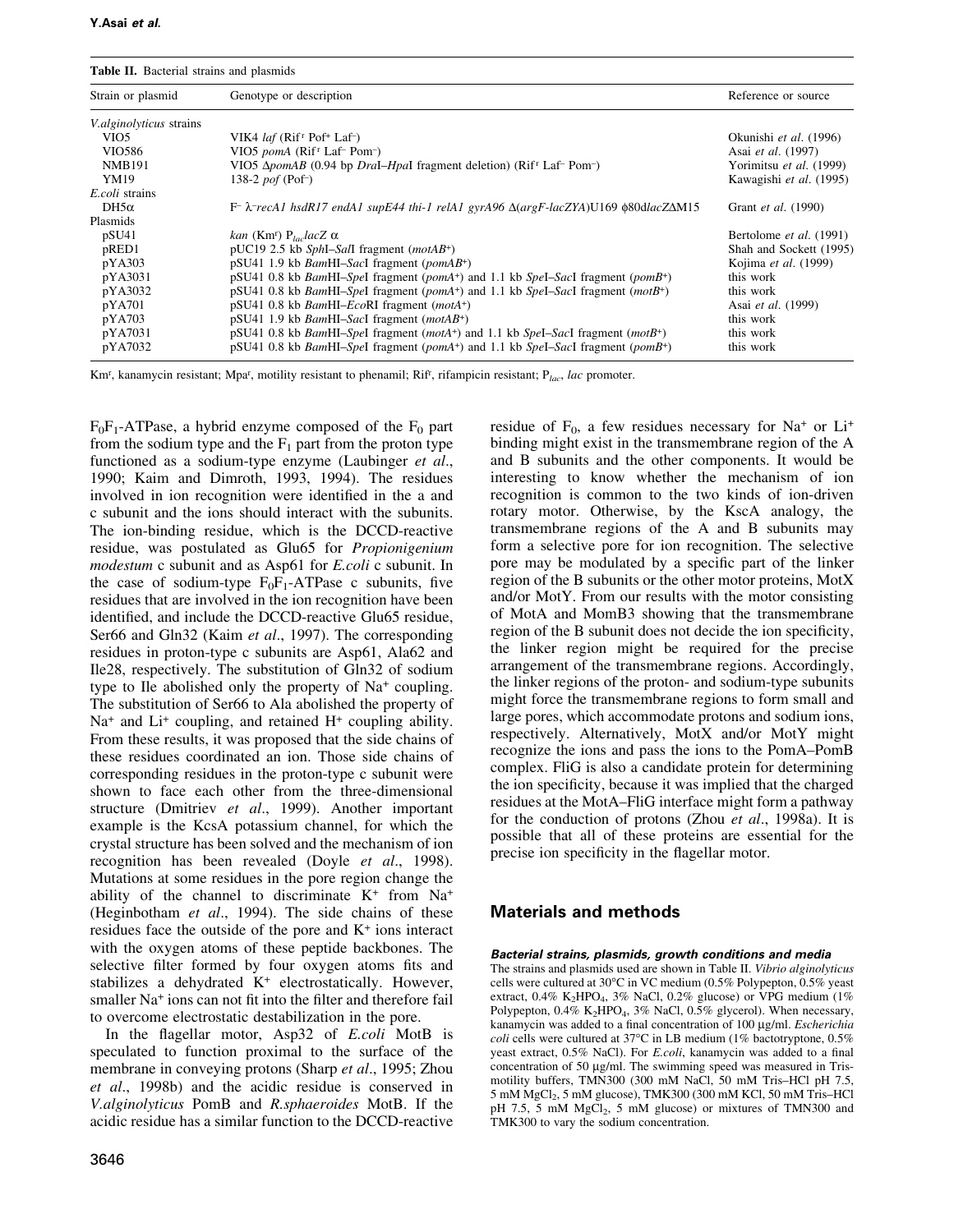Table II. Bacterial strains and plasmids

| Strain or plasmid               | Genotype or description                                                                                                                  | Reference or source        |
|---------------------------------|------------------------------------------------------------------------------------------------------------------------------------------|----------------------------|
| <i>V. alginolyticus</i> strains |                                                                                                                                          |                            |
| VIO <sub>5</sub>                | VIK4 <i>laf</i> ( $Rif'$ Pof <sup>+</sup> Laf <sup>-</sup> )                                                                             | Okunishi et al. (1996)     |
| VIO586                          | VIO5 pomA (Rif <sup>r</sup> Laf <sup>-</sup> Pom <sup>-</sup> )                                                                          | Asai et al. (1997)         |
| <b>NMB191</b>                   | VIO5 $\Delta$ <i>pomAB</i> (0.94 bp <i>DraI–HpaI</i> fragment deletion) (Rif <sup>T</sup> Laf <sup>-</sup> Pom <sup>-</sup> )            | Yorimitsu et al. (1999)    |
| YM19                            | 138-2 $\text{pof}$ (Pof <sup>-</sup> )                                                                                                   | Kawagishi et al. (1995)    |
| <i>E.coli</i> strains           |                                                                                                                                          |                            |
| $DH5\alpha$                     | $F^-\lambda$ recA1 hsdR17 endA1 supE44 thi-1 relA1 gyrA96 $\Delta(\arg F$ -lacZYA)U169 \the 80dlacZ $\Delta M15$                         | Grant <i>et al.</i> (1990) |
| Plasmids                        |                                                                                                                                          |                            |
| pSU <sub>41</sub>               | kan (Km <sup>r</sup> ) P <sub>lac</sub> lacZ $\alpha$                                                                                    | Bertolome et al. (1991)    |
| pRED1                           | pUC19 2.5 kb SphI-SalI fragment ( $motAB^+$ )                                                                                            | Shah and Sockett (1995)    |
| pYA303                          | pSU41 1.9 kb BamHI-SacI fragment (pomAB <sup>+</sup> )                                                                                   | Kojima et al. (1999)       |
| pYA3031                         | pSU41 0.8 kb <i>BamHI-SpeI</i> fragment ( <i>pomA</i> <sup>+</sup> ) and 1.1 kb <i>SpeI-SacI</i> fragment ( <i>pomB</i> <sup>+</sup> )   | this work                  |
| pYA3032                         | $pSU41$ 0.8 kb <i>BamHI-SpeI</i> fragment ( <i>pomA</i> <sup>+</sup> ) and 1.1 kb <i>SpeI-SacI</i> fragment ( <i>motB</i> <sup>+</sup> ) | this work                  |
| pYA701                          | $pSU41$ 0.8 kb <i>BamHI-EcoRI</i> fragment ( <i>motA</i> <sup>+</sup> )                                                                  | Asai et al. (1999)         |
| pYA703                          | pSU41 1.9 kb BamHI-SacI fragment (motAB <sup>+</sup> )                                                                                   | this work                  |
| pYA7031                         | pSU41 0.8 kb BamHI-SpeI fragment (motA <sup>+</sup> ) and 1.1 kb SpeI-SacI fragment (motB <sup>+</sup> )                                 | this work                  |
| pYA7032                         | pSU41 0.8 kb <i>BamHI-SpeI</i> fragment ( <i>pomA</i> <sup>+</sup> ) and 1.1 kb <i>SpeI-SacI</i> fragment ( <i>pomB</i> <sup>+</sup> )   | this work                  |

Km<sup>r</sup>, kanamycin resistant; Mpa<sup>r</sup>, motility resistant to phenamil; Rif<sup>r</sup>, rifampicin resistant; P<sub>lac</sub>, lac promoter.

 $F_0F_1$ -ATPase, a hybrid enzyme composed of the  $F_0$  part from the sodium type and the  $F_1$  part from the proton type functioned as a sodium-type enzyme (Laubinger et al., 1990; Kaim and Dimroth, 1993, 1994). The residues involved in ion recognition were identified in the a and c subunit and the ions should interact with the subunits. The ion-binding residue, which is the DCCD-reactive residue, was postulated as Glu65 for Propionigenium *modestum* c subunit and as Asp61 for *E.coli* c subunit. In the case of sodium-type  $F_0F_1$ -ATPase c subunits, five residues that are involved in the ion recognition have been identified, and include the DCCD-reactive Glu65 residue, Ser66 and Gln32 (Kaim et al., 1997). The corresponding residues in proton-type c subunits are Asp61, Ala62 and Ile28, respectively. The substitution of Gln32 of sodium type to Ile abolished only the property of Na<sup>+</sup> coupling. The substitution of Ser66 to Ala abolished the property of  $Na<sup>+</sup>$  and Li<sup>+</sup> coupling, and retained H<sup>+</sup> coupling ability. From these results, it was proposed that the side chains of these residues coordinated an ion. Those side chains of corresponding residues in the proton-type c subunit were shown to face each other from the three-dimensional structure (Dmitriev et al., 1999). Another important example is the KcsA potassium channel, for which the crystal structure has been solved and the mechanism of ion recognition has been revealed (Doyle et al., 1998). Mutations at some residues in the pore region change the ability of the channel to discriminate  $K^+$  from  $Na^+$ (Heginbotham et al., 1994). The side chains of these residues face the outside of the pore and  $K^+$  ions interact with the oxygen atoms of these peptide backbones. The selective filter formed by four oxygen atoms fits and stabilizes a dehydrated K<sup>+</sup> electrostatically. However, smaller Na<sup>+</sup> ions can not fit into the filter and therefore fail to overcome electrostatic destabilization in the pore.

In the flagellar motor, Asp32 of E.coli MotB is speculated to function proximal to the surface of the membrane in conveying protons (Sharp et al., 1995; Zhou et al., 1998b) and the acidic residue is conserved in V.alginolyticus PomB and R.sphaeroides MotB. If the acidic residue has a similar function to the DCCD-reactive residue of  $F_0$ , a few residues necessary for Na<sup>+</sup> or Li<sup>+</sup> binding might exist in the transmembrane region of the A and B subunits and the other components. It would be interesting to know whether the mechanism of ion recognition is common to the two kinds of ion-driven rotary motor. Otherwise, by the KscA analogy, the transmembrane regions of the A and B subunits may form a selective pore for ion recognition. The selective pore may be modulated by a specific part of the linker region of the B subunits or the other motor proteins, MotX and/or MotY. From our results with the motor consisting of MotA and MomB3 showing that the transmembrane region of the B subunit does not decide the ion specificity, the linker region might be required for the precise arrangement of the transmembrane regions. Accordingly, the linker regions of the proton- and sodium-type subunits might force the transmembrane regions to form small and large pores, which accommodate protons and sodium ions, respectively. Alternatively, MotX and/or MotY might recognize the ions and pass the ions to the PomA-PomB complex. FliG is also a candidate protein for determining the ion specificity, because it was implied that the charged residues at the MotA–FliG interface might form a pathway for the conduction of protons (Zhou et al., 1998a). It is possible that all of these proteins are essential for the precise ion specificity in the flagellar motor.

## **Materials and methods**

#### Bacterial strains, plasmids, growth conditions and media

The strains and plasmids used are shown in Table II. Vibrio alginolyticus cells were cultured at 30°C in VC medium (0.5% Polypepton, 0.5% yeast extract, 0.4% K<sub>2</sub>HPO<sub>4</sub>, 3% NaCl, 0.2% glucose) or VPG medium (1% Polypepton, 0.4% K<sub>2</sub>HPO<sub>4</sub>, 3% NaCl, 0.5% glycerol). When necessary, kanamycin was added to a final concentration of 100 µg/ml. Escherichia *coli* cells were cultured at  $37^{\circ}$ C in LB medium (1% bactotryptone, 0.5%) yeast extract, 0.5% NaCl). For E.coli, kanamycin was added to a final concentration of 50 µg/ml. The swimming speed was measured in Trismotility buffers, TMN300 (300 mM NaCl, 50 mM Tris-HCl pH 7.5, 5 mM MgCl<sub>2</sub>, 5 mM glucose), TMK300 (300 mM KCl, 50 mM Tris-HCl pH 7.5, 5 mM MgCl<sub>2</sub>, 5 mM glucose) or mixtures of TMN300 and TMK300 to vary the sodium concentration.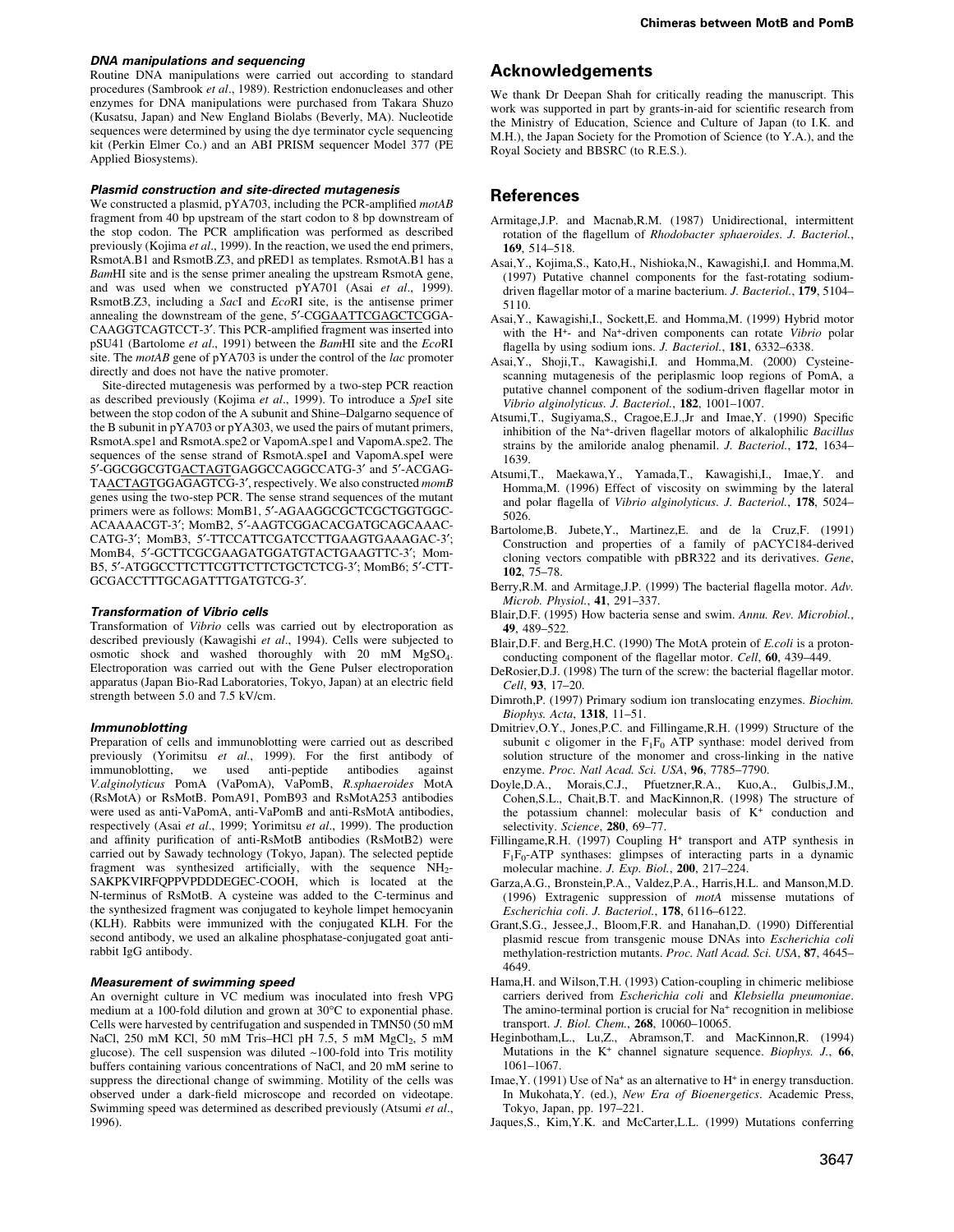#### **DNA manipulations and sequencing**

Routine DNA manipulations were carried out according to standard procedures (Sambrook et al., 1989). Restriction endonucleases and other enzymes for DNA manipulations were purchased from Takara Shuzo (Kusatsu, Japan) and New England Biolabs (Beverly, MA). Nucleotide sequences were determined by using the dye terminator cycle sequencing kit (Perkin Elmer Co.) and an ABI PRISM sequencer Model 377 (PE Applied Biosystems).

#### Plasmid construction and site-directed mutagenesis

We constructed a plasmid, pYA703, including the PCR-amplified motAB fragment from 40 bp upstream of the start codon to 8 bp downstream of the stop codon. The PCR amplification was performed as described previously (Kojima et al., 1999). In the reaction, we used the end primers, RsmotA.B1 and RsmotB.Z3, and pRED1 as templates. RsmotA.B1 has a BamHI site and is the sense primer anealing the upstream RsmotA gene, and was used when we constructed  $pYA701$  (Asai et al., 1999). RsmotB.Z3, including a SacI and EcoRI site, is the antisense primer annealing the downstream of the gene, 5'-CGGAATTCGAGCTCGGA-CAAGGTCAGTCCT-3'. This PCR-amplified fragment was inserted into pSU41 (Bartolome et al., 1991) between the BamHI site and the EcoRI site. The *motAB* gene of  $pYA703$  is under the control of the *lac* promoter directly and does not have the native promoter.

Site-directed mutagenesis was performed by a two-step PCR reaction as described previously (Kojima et al., 1999). To introduce a SpeI site between the stop codon of the A subunit and Shine-Dalgarno sequence of the B subunit in pYA703 or pYA303, we used the pairs of mutant primers, RsmotA.spe1 and RsmotA.spe2 or VapomA.spe1 and VapomA.spe2. The sequences of the sense strand of RsmotA.speI and VapomA.speI were 5'-GGCGGCGTGACTAGTGAGGCCAGGCCATG-3' and 5'-ACGAG-TAACTAGTGGAGAGTCG-3', respectively. We also constructed momB genes using the two-step PCR. The sense strand sequences of the mutant primers were as follows: MomB1, 5'-AGAAGGCGCTCGCTGGTGGC-ACAAAACGT-3'; MomB2, 5'-AAGTCGGACACGATGCAGCAAAC-CATG-3': MomB3. 5'-TTCCATTCGATCCTTGAAGTGAAAGAC-3': MomB4, 5'-GCTTCGCGAAGATGGATGTACTGAAGTTC-3'; Mom-B5, 5'-ATGGCCTTCTTCGTTCTTCTGCTCTCG-3'; MomB6; 5'-CTT-GCGACCTTTGCAGATTTGATGTCG-3'.

#### **Transformation of Vibrio cells**

Transformation of Vibrio cells was carried out by electroporation as described previously (Kawagishi et al., 1994). Cells were subjected to osmotic shock and washed thoroughly with 20 mM MgSO<sub>4</sub>. Electroporation was carried out with the Gene Pulser electroporation apparatus (Japan Bio-Rad Laboratories, Tokyo, Japan) at an electric field strength between 5.0 and 7.5 kV/cm.

#### *Immunoblotting*

Preparation of cells and immunoblotting were carried out as described previously (Yorimitsu et al., 1999). For the first antibody of immunoblotting, we used anti-peptide antibodies against V.alginolyticus PomA (VaPomA), VaPomB, R.sphaeroides MotA (RsMotA) or RsMotB. PomA91, PomB93 and RsMotA253 antibodies were used as anti-VaPomA, anti-VaPomB and anti-RsMotA antibodies, respectively (Asai et al., 1999; Yorimitsu et al., 1999). The production and affinity purification of anti-RsMotB antibodies (RsMotB2) were carried out by Sawady technology (Tokyo, Japan). The selected peptide fragment was synthesized artificially, with the sequence NH<sub>2</sub>-SAKPKVIRFQPPVPDDDEGEC-COOH, which is located at the N-terminus of RsMotB. A cysteine was added to the C-terminus and the synthesized fragment was conjugated to keyhole limpet hemocyanin (KLH). Rabbits were immunized with the conjugated KLH. For the second antibody, we used an alkaline phosphatase-conjugated goat antirabbit IgG antibody.

#### **Measurement of swimming speed**

An overnight culture in VC medium was inoculated into fresh VPG medium at a 100-fold dilution and grown at 30°C to exponential phase. Cells were harvested by centrifugation and suspended in TMN50 (50 mM NaCl, 250 mM KCl, 50 mM Tris-HCl pH 7.5, 5 mM MgCl<sub>2</sub>, 5 mM glucose). The cell suspension was diluted ~100-fold into Tris motility buffers containing various concentrations of NaCl, and 20 mM serine to suppress the directional change of swimming. Motility of the cells was observed under a dark-field microscope and recorded on videotape. Swimming speed was determined as described previously (Atsumi et al., 1996).

## **Acknowledgements**

We thank Dr Deepan Shah for critically reading the manuscript. This work was supported in part by grants-in-aid for scientific research from the Ministry of Education, Science and Culture of Japan (to I.K. and M.H.), the Japan Society for the Promotion of Science (to Y.A.), and the Royal Society and BBSRC (to R.E.S.).

#### **References**

- Armitage, J.P. and Macnab, R.M. (1987) Unidirectional, intermittent rotation of the flagellum of Rhodobacter sphaeroides. J. Bacteriol., 169. 514-518.
- Asai, Y., Kojima, S., Kato, H., Nishioka, N., Kawagishi, I. and Homma, M. (1997) Putative channel components for the fast-rotating sodiumdriven flagellar motor of a marine bacterium. J. Bacteriol., 179, 5104– 5110.
- Asai, Y., Kawagishi, I., Sockett, E. and Homma, M. (1999) Hybrid motor with the H<sup>+</sup>- and Na<sup>+</sup>-driven components can rotate Vibrio polar flagella by using sodium ions. J. Bacteriol., 181, 6332-6338.
- Asai, Y., Shoji, T., Kawagishi, I. and Homma, M. (2000) Cysteinescanning mutagenesis of the periplasmic loop regions of PomA, a putative channel component of the sodium-driven flagellar motor in Vibrio alginolyticus. J. Bacteriol., 182, 1001–1007.
- Atsumi, T., Sugiyama, S., Cragoe, E.J., Jr and Imae, Y. (1990) Specific inhibition of the Na<sup>+</sup>-driven flagellar motors of alkalophilic *Bacillus* strains by the amiloride analog phenamil. J. Bacteriol., 172, 1634-1639.
- Atsumi, T., Maekawa, Y., Yamada, T., Kawagishi, I., Imae, Y. and Homma, M. (1996) Effect of viscosity on swimming by the lateral and polar flagella of Vibrio alginolyticus. J. Bacteriol., 178, 5024- $5026$
- Bartolome, B. Jubete, Y., Martinez, E. and de la Cruz, F. (1991) Construction and properties of a family of pACYC184-derived cloning vectors compatible with pBR322 and its derivatives. Gene,  $102.75 - 78.$
- Berry, R.M. and Armitage, J.P. (1999) The bacterial flagella motor. Adv. Microb. Physiol., 41, 291-337.
- Blair, D.F. (1995) How bacteria sense and swim. Annu. Rev. Microbiol., 49, 489-522.
- Blair, D.F. and Berg, H.C. (1990) The MotA protein of E.coli is a protonconducting component of the flagellar motor. Cell. 60, 439–449.
- DeRosier, D.J. (1998) The turn of the screw: the bacterial flagellar motor. Cell, 93, 17-20.
- Dimroth, P. (1997) Primary sodium ion translocating enzymes. Biochim. Biophys. Acta, 1318, 11-51.
- Dmitriev, O.Y., Jones, P.C. and Fillingame, R.H. (1999) Structure of the subunit c oligomer in the  $F_1F_0$  ATP synthase: model derived from solution structure of the monomer and cross-linking in the native enzyme. Proc. Natl Acad. Sci. USA, 96, 7785-7790.
- Doyle, D.A., Morais, C.J., Pfuetzner, R.A., Kuo, A., Gulbis, J.M., Cohen, S.L., Chait, B.T. and MacKinnon, R. (1998) The structure of the potassium channel: molecular basis of K<sup>+</sup> conduction and selectivity. Science, 280, 69-77.
- Fillingame, R.H. (1997) Coupling H<sup>+</sup> transport and ATP synthesis in  $F_1F_0$ -ATP synthases: glimpses of interacting parts in a dynamic molecular machine. J. Exp. Biol., 200, 217-224.
- Garza, A.G., Bronstein, P.A., Valdez, P.A., Harris, H.L. and Manson, M.D. (1996) Extragenic suppression of motA missense mutations of Escherichia coli. J. Bacteriol., 178, 6116-6122.
- Grant, S.G., Jessee, J., Bloom, F.R. and Hanahan, D. (1990) Differential plasmid rescue from transgenic mouse DNAs into Escherichia coli methylation-restriction mutants. Proc. Natl Acad. Sci. USA, 87, 4645-4649.
- Hama, H. and Wilson, T.H. (1993) Cation-coupling in chimeric melibiose carriers derived from Escherichia coli and Klebsiella pneumoniae. The amino-terminal portion is crucial for Na<sup>+</sup> recognition in melibiose transport. J. Biol. Chem., 268, 10060-10065.
- Heginbotham, L., Lu, Z., Abramson, T. and MacKinnon, R. (1994) Mutations in the  $K^+$  channel signature sequence. *Biophys. J.*, 66,  $1061 - 1067$ .
- Imae, Y. (1991) Use of Na<sup>+</sup> as an alternative to  $H^+$  in energy transduction. In Mukohata, Y. (ed.), New Era of Bioenergetics. Academic Press, Tokyo, Japan, pp. 197-221.
- Jaques, S., Kim, Y.K. and McCarter, L.L. (1999) Mutations conferring